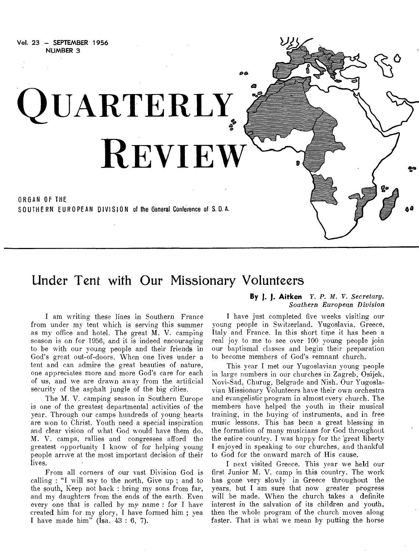

## Under Tent with Our Missionary Volunteers

I am writing these lines in Southern France from under my tent which is serving this summer as my office and hotel. The great M. V. camping season is on for 1956, and it is indeed encouraging to be with our young people and their friends in God's great out-of-doors. When one lives under a tent and can admire the great beauties of nature, one appreciates more and more God's care for each of us, and we are drawn away from the artificial security of the asphalt jungle of the big cities.

The M. V. camping season in Southern Europe is one of the greatest departmental activities of the year. Through our camps hundreds of young hearts are won to Christ. Youth need a special inspiration and clear vision of what God would have them do. M. V. camps, rallies and congresses afford the greatest opportunity I know of for helping young people arrive at the most important decision of their lives.

From all corners of our vast Division God is calling : "I will say to the north, Give up ; and to the south, Keep not back : bring my sons from far, and my daughters from the ends of the earth. Even *every* one that is called by my name : for I have created him for my glory, I have formed him ; yea I have made him" (Isa.  $43:6, 7$ ).

#### **By J. J. Aitken** *Y. P. M. V. Secretary, Southern European Division*

I have just completed five weeks visiting our young people in Switzerland. Yugoslavia, Greece, Italy and France. In this short time it has been a real joy to me to see over 100 young people join our baptismal classes and begin their preparation to become members of God's remnant church.

This year I met our Yugoslavian young people in large numbers in our churches in Zagreb, Osijek, Novi-Sad, Churug, Belgrade and Nish. Our Yugoslavian Missionary Volunteers have their own orchestra and evangelistic program in almost every church. The members have helped the youth in their musical training, in the buying of instruments, and in free music lessons. This has been a great blessing in the formation of many musicians for God throughout the entire country. I was happy for the 'great liberty I enjoyed in speaking to our churches, and thankful to God for the onward march of His cause.

I next visited Greece. This year we held our first Junior M. V. camp in this country. The work has gone very slowly in Greece throughout the years, but I am sure that now greater progress will be made. When the church takes a definite interest in the salvation of its children and youth, then the whole program of the church moves along faster. That is what we mean by putting the horse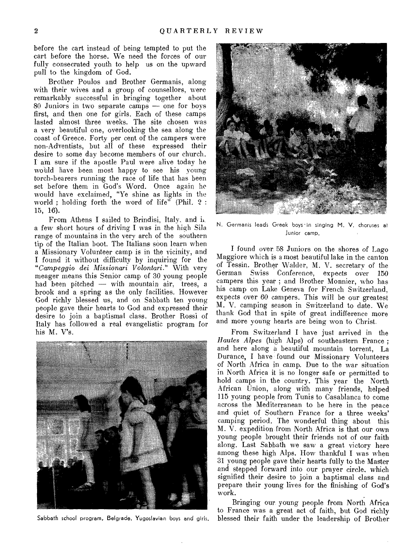before the cart instead of being tempted to put the cart before the horse. We need the forces of our fully consecrated youth to help us on the upward pull to the kingdom of God.

Brother Poulos and Brother Germanis, along with their wives and a group of counsellors, were remarkably successful in bringing together about 80 Juniors in two separate camps — one for boys first, and then one for girls. Each of these camps lasted almost three weeks. The site chosen was a very beautiful one, overlooking the sea along the coast of Greece. Forty per cent of the campers were non-Adventists, but all of these expressed their desire to some day become members of our church. I am sure if the apostle Paul were alive today he would have been most happy to see his young torch-bearers running the race of life that has been set before them in God's Word. Once again he would have exclaimed, "Ye shine as lights in the world ; holding forth the word of life" (Phil. 2 : 15, 16).

From Athens I sailed to Brindisi, Italy. and i. a few short hours of driving I was in the high Sila range of mountains in the very arch of the southern tip of the Italian boot. The Italians soon learn when a Missionary Volunteer camp is in the vicinity, and I found it without difficulty by inquiring for the *"Campeggio dei Missionari Volontari."* With very meager means this Senior camp of 30 young people had been pitched — with mountain air, trees, a brook and a spring as the only facilities. However God richly blessed us, and on Sabbath ten young people gave their hearts to God and expressed their desire to join a baptismal class. Brother Rossi of Italy has followed a real evangelistic program for his M. V's.



Sabbath school program, Belgrade. Yugoslavian boys and girls.



N. Germanis leads Greek boys in singing M. V. choruses at Junior camp.

I found over 58 Juniors on the shores of Lago Maggiore which is a most beautiful lake in the canton of Tessin. Brother Walder, M. V. secretary of the German Swiss Conference, expects over 150 campers this year ; and Brother Monnier, who has his camp on Lake Geneva for French Switzerland, expects over 60 campers. This will be our greatest M. V. camping season in Switzerland to date. We thank God that in spite of great indifference more and more young hearts are being won to Christ.

From Switzerland I have just arrived in the *Hautes Alpes* (high Alps) of southeastern France ; and here along a beautiful mountain torrent, La Durance, I have found our Missionary Volunteers of North Africa in camp. Due to the war situation in North Africa it is no longer safe or permitted to hold camps in the country. This year the North African Union, along with many friends, helped 115 young people from Tunis to Casablanca to come across the Mediterranean to be here in the peace and quiet of Southern France for a three weeks' camping period. The wonderful thing about this M. V. expedition from North Africa is that our own young people brought their friends not of our faith along. Last Sabbath we saw a great victory here among these high Alps. How thankful I was when 31 young people gave their hearts fully to the Master and stepped forward into our prayer circle, which signified their desire to join a baptismal class and prepare their young lives for the finishing of God's work.

Bringing our young people from North Africa to France was a great act of faith, but God richly blessed their faith under the leadership of Brother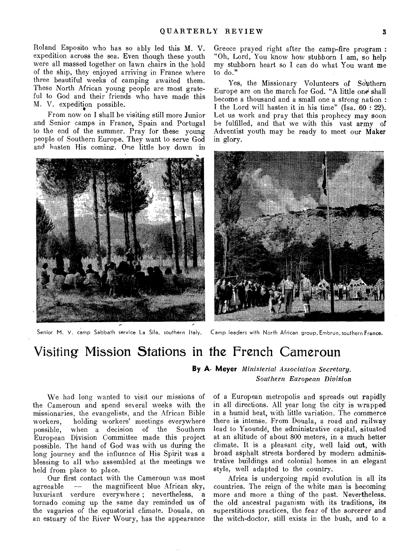Roland Esposito who has so ably led this M. V. expedition across the sea. Even though these youth were all massed together on lawn chairs in the hold of the ship, they enjoyed arriving in France where three beautiful weeks of camping awaited them. These North African young people are most grateful to God and their friends who have made this M. V. expedition possible.

From now on I shall be visiting still more Junior and Senior camps in France, Spain and Portugal to the end of the summer. Pray for these young people of Southern Europe. They want to serve God and hasten His coming. One little boy down in



Senior M. V. camp Sabbath service La Sila, southern Italy. Camp leaders with North African group, Embrun, southern France.

Greece prayed right after the camp-fire program : "Oh, Lord, You know how stubborn I am, so help my stubborn heart so I can do what You want me to do."

Yes, the Missionary Volunteers of Southern Europe are on the march for God. "A little one shall become a thousand and a small one a strong nation : I the Lord will hasten it in his time" (Isa. 60 : 22). Let us work and pray that this prophecy may soon be fulfilled, and that we with this vast army of Adventist youth may be ready to meet our Maker in glory.



## Visiting Mission Stations in the French Cameroun

### **By A. Meyer** *Ministerial Association Secretary. Southern European Division*

We had long wanted to visit our missions of the Cameroun and spend several weeks with the missionaries, the evangelists, and the African Bible workers, holding workers' meetings everywhere possible, when a decision of the Southern European Division Committee made this project possible. The hand of God was with us during the long journey and the influence of His Spirit was a blessing to all who assembled at the meetings we held from place to place.

Our first contact with the Cameroun was most agreeable — the magnificent blue African sky, luxuriant verdure everywhere ; nevertheless, a tornado coming up the same day reminded us of the vagaries of the equatorial climate. Douala, on an estuary of the River Woury, has the appearance

of a European metropolis and spreads out rapidly in all directions. All year long the city is wrapped in a humid heat, with little variation. The commerce there is intense. From Douala, a road and railway lead to Yaounde, the administrative capital, situated at an altitude of about 800 meters, in a much better climate. It is a pleasant city, well laid out, with broad asphalt streets bordered by modern administrative buildings and colonial homes in an elegant style, well adapted to the country.

Africa is undergoing rapid evolution in all its countries. The reign of the white man is becoming more and more a thing of the past. Nevertheless. the old ancestral paganism with its traditions, its superstitious practices, the fear of the sorcerer and the witch-doctor, still exists in the bush, and to a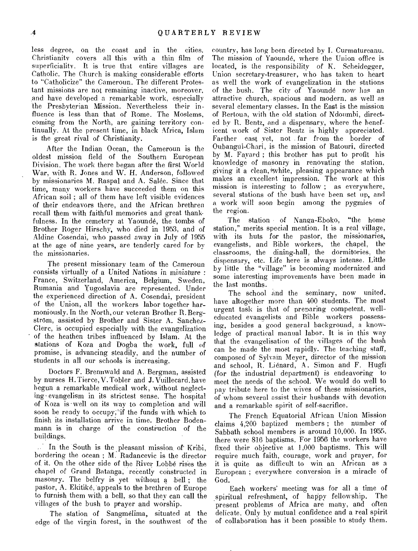less degree, on the coast and in the cities. Christianity covers all this with a thin film of superficiality. It is true that entire villages are Catholic. The Church is making considerable efforts to "Catholicize" the Cameroun. The different Protestant missions are not remaining inactive, moreover, and have developed a remarkable work, especially the Presbyterian Mission. Nevertheless their influence is less than that of Rome. The Moslems, coming from the North, are gaining territory continually. At the present time, in black Africa, Islam is the great rival of Christianity.

After the Indian Ocean, the Cameroun is the oldest mission field of the Southern European Division. The work there began after the first World War, with R. Jones and W. H. Anderson, followed by missionaries M. Raspal and A. Salée. Since that time, many workers have succeeded them on this African soil ; all of them have left visible evidences of their endeavors there, and the African brethren recall them with faithful memories and great thank. fulness. In the cemetery at Yaounde, the tombs of Brother Roger Hirschy, who died' in 1953, and of Aldine Cosendai, who passed away in July of 1955 at the age of nine years, are tenderly cared for by the missionaries.

The present missionary team of the Cameroun consists virtually of a United Nations in miniature : France, Switzerland, America, Belgium, Sweden, Rumania and Yugoslavia are represented. Under the experienced direction of A. Cosendai, president of the Union, all the workers labor together harmoniously. In the North, our veteran Brother R. Bergström, assisted by Brother and Sister A. Sanchez-Clerc, is occupied especially with the evangelization of the heathen tribes influenced by Islam. At the stations of Koza and Dogba the work, full of promise, is advancing steadily, and the number of students in all our schools is increasing.

Doctors F. Brermwald and A. Bergman, assisted by nurses H. Tierce, V. Tobler and J. Vuillecard.have begun a remarkable medical work, without neglecting' evangelism in its strictest sense. The hospital of Koza is' well on its way to completion and will soon be ready to occupy;"if the funds with which to finish its installation arrive in time. Brother Bodenmann is in charge of the construction of the buildings.

In the South is the pleasant mission or Kribi, bordering the ocean ; M. Radancevic is the director of, it. On the other side of the River Lobbe rises the chapel of Grand Batanga, recently constructed in masonry. The belfry is yet without a bell ; the pastor, A. Ekitiké, appeals to the brethren of Europe to furnish them with a bell, so that they can call the villages of the bush to prayer and worship.

The station of Sangmelima, situated at the edge of the virgin forest, in the southwest of the

country, has long been directed by I. Curmatureanu. The mission of Yaounde, where the Union office is located, is the responsibility of K. Scheidegger, Union secretary-treasurer, who has taken to heart as well the work of evangelization in the stations of the bush. The city of Yaounde now has an attractive church, spacious and modern, as well as several elementary classes. In the East is the mission of Bertoua, with the old station of Ndonmbi, directed by R. Bentz, and a dispensary, where the beneficent work of Sister Bentz is highly appreciated. Farther east yet, not far from the border of Oubangui-Chari, is the mission of Batouri, directed by M. Fayard ; this brother has put to profit his knowledge of masonry in renovating the station, giving it a clean, white, pleasing appearance which makes an excellent impression. The work at this mission is interesting to follow ; as everywhere, several stations of the bush have been set up, and a work will soon begin among the pygmies of the region.

The station of Nanga-Eboko, "the home station," merits special mention. It is a real village, with its huts for the pastor, the missionaries, evangelists, and Bible workers, the chapel, the classrooms, the dining-hall, the dormitories, the dispensary, etc. Life here is always intense. Little by little the "village" is becoming modernized and some interesting improvements have been made in the last months.

The school and the seminary, now united. have altogether more than 400 students. The most urgent task is that of preparing competent, welleducated evangelists and Bible workers possessing, besides a good general background, a knowledge of practical manual labor. It is in this way that the evangelisation of the villages of the bush can be made the most rapidly. The teaching staff, composed' of Sylvain Meyer, director of the mission and school, R. Lienard, A. Simon and F. Hugli (for the industrial department) is endeavoring to meet the needs of the school. We would do well to pay tribute here to the wives of these missionaries, of whom several assist their husbands with devotion and a remarkable spirit of self-sacrifice.

The French Equatorial African Union Mission claims 4,200 baptized members ; the number of Sabbath school members is around 10,000. In 1955. there were 816 baptisms. For 1956 the workers have fixed their objective at 1,000 baptisms. This will require much faith, courage, work and prayer, for it is quite as difficult to win an African as a European ; everywhere conversion is a miracle of God.

Each workers' meeting was for all a time of .spiritual refreshment, of happy fellowship. The present problems of Africa are many, and often delicate. Only by mutual confidence and a real spirit of collaboration has it been possible to study them.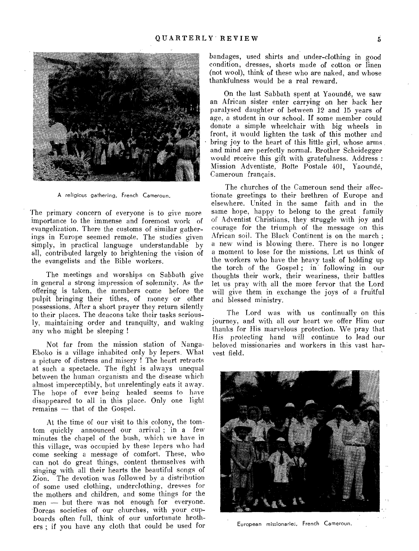

A religious gathering, French Cameroun.

The primary concern of everyone is to give more importance to the immense and foremost work of evangelization. There the customs of similar gatherings in Europe seemed remote. The studies given simply, in practical language understandable by all, contributed largely to brightening the vision of the evangelists and the Bible workers.

The meetings and worships on Sabbath give in general a strong impression of solemnity. As the offering is taken, the members come before the pulpit bringing their tithes, of money or other possessions. After a short prayer they return silently to their places. The deacons take their tasks seriously, maintaining order and tranquilty, and waking any who might be sleeping !

Not far from the mission station of Nanga-Eboko is a village inhabited only by lepers. What a picture of distress and misery ! The heart retracts at such a spectacle. The fight is always unequal between the human organism and the disease which almost imperceptibly, but unrelentingly eats it away. The hope of ever being healed seems to have disappeared to all in this place. Only one light remains — that of the Gospel.

At the time of our visit to this colony, the tomtom quickly announced our arrival ; in a few minutes the chapel of the bush, which we have in this village, was occupied by these lepers who had come seeking a message of comfort. These, who can not do great things, content themselves with singing with all their hearts the beautiful songs of Zion. The devotion was followed by a distribution of some used clothing, underclothing, dresses for the mothers and children, and some things for the men — but there was not enough for everyone. 'Dorcas societies of our churches, with your cupboards often full, think of our unfortunate brothers; if you have any cloth that could be used for

bandages, used shirts and under-clothing in good condition, dresses, shorts made of cotton or linen (not wool), think of these who are naked, and whose thankfulness would be a real reward.

On the last Sabbath spent at Yaounde, we saw an African sister enter carrying on her hack her paralysed daughter of between 12 and 15 years of age, a student in our school. If some member could donate a simple wheelchair with big wheels in front, it would lighten the task of this mother and bring joy to the heart of this little girl, whose arms and mind are perfectly normal. Brother Scheidegger would receive this gift with gratefulness. Address : Mission Adventiste, Boite Postale 401, Yaounde, Cameroun francais.

The churches of the Cameroun send their affectionate greetings to their brethren of Europe and elsewhere. United in the same faith and in the same hope, happy to belong to the great family of Adventist Christians, they struggle with joy and courage for the triumph of the message on this African soil. The Black Continent is on the march ; a new wind is blowing there. There is no longer a moment to lose for the missions. Let us think of the workers who have the heavy task of holding up the torch of the Gospel; in following in our thoughts their work, their weariness, their battles let us pray with all the more fervor that the Lord will give them in exchange the joys of a fruitful and blessed ministry.

The Lord was with us continually on this journey, and with all our heart we offer Him our thanks for His marvelous protection. We pray that His protecting hand will continue to lead our beloved missionaries and workers in this vast harvest field.



European missionaries, French Cameroun.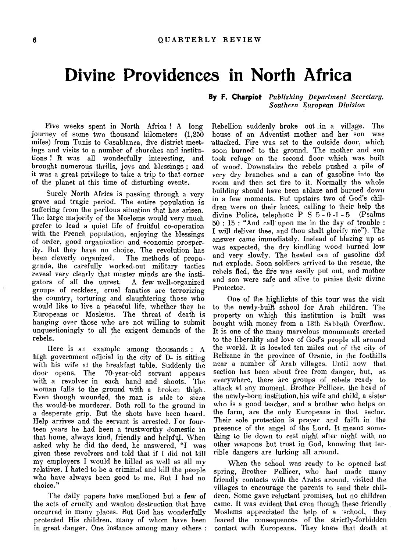# **Divine Providences in North Africa**

Five weeks spent in North Africa ! A long journey of some two thousand kilometers (1,250 miles) from Tunis to Casablanca, five district meetings and visits to a number of churches and institutions ! Pt was all wonderfully interesting, and brought numerous thrills, joys and blessings ; and it was a great privilege to take a trip to that corner of the planet at this time of disturbing events.

Surely North Africa is passing through a very grave and tragic period. The entire population is suffering from the perilous situation that has arisen. The large majority of the Moslems would very much prefer to lead a quiet life of fruitful co-operation with the French population, enjoying the blessings of order, good organization and economic prosperity. But they have no choice. The revolution has The methods of propagrnda, the carefully worked-out military tactics reveal very clearly that master minds are the instigators of all the unrest. A few well-organized gators of all the unrest. groups of reckless, cruel fanatics are terrorizing the country, torturing and slaughtering those who would like to live a peaceful life, whether they be Europeans or Moslems. The threat of death is hanging over those who are not willing to submit unquestioningly to all the exigent demands of the rebels.

Here is an example among thousands : A high government official in the city of D- is sitting with his wife at the breakfast table. Suddenly the door opens. The 70-year-old servant appears 70-year-old servant appears with a revolver in each hand and shoots. The woman falls to the ground with a broken thigh. Even though wounded, the man is able to sieze the would-be murderer. Both roll to the ground in a desperate grip. But the shots have been heard. Help arrives and the servant is arrested. For fourteen years he had been a trustworthy domestic in that home, always kind, friendly and helpful. When asked why he did the deed, he answered, "I was given these revolvers and told that if I did not kill my employers I would be killed as well as all my relatives. I hated to be a criminal and kill the people who have always been good to me. But I had no choice."

The daily papers have mentioned but a few of the acts of cruelty and wanton destruction that have occurred in many places. But God has wonderfully protected His children, many of whom have been in great danger. One instance among many others :

**By F. Charpiot** *Publishing Department Secretary. Southern European Division* 

Rebellion suddenly broke out in a village. The house of an Adventist mother and her son was -attacked. Fire was set to the outside door, which soon burned to the ground. The mother and son took refuge on the second floor which was built of wood. Downstairs the rebels pushed a pile of very dry branches and a can of gasoline into the room and then set fire to it. Normally the whole building should have been ablaze and burned down in a few moments. But upstairs two of God's children were on their knees, calling to their help the divine Police, telephone P S 5 - 0 -1 - 5 (Psalms 50 : 15 : "And call upon me in the day of trouble : I will deliver thee, and thou shalt glorify me"). The answer came immediately. Instead of blazing up as was expected, the dry kindling wood burned low and very slowly. The heated can of gasoline did not explode. Soon soldiers arrived to the rescue, the rebels fled, the fire was easily put out, and mother and son were safe and alive to praise their divine Protector.

One of the highlights of this tour was the visit to the newly-built school for Arab children. The property on which this institution is built was bought with money from a 13th Sabbath Overflow. It is one of the many marvelous monuments erected to the liberality and love of God's people all around the world. It is located ten miles out of the city of Relizane in the province of Oranie, in the foothills near a number of Arab villages. Until now thatsection has been about free from danger, hut, as everywhere, there are groups of rebels ready to attack at any moment. Brother Pellicer, the head of the newly-born institution, his wife and child, a sister who is a good teacher, and a brother who helps on the farm, are the only Europeans in that sector. Their sole protection is prayer and faith in the presence of the angel of the Lord. It means something to lie down to rest night after night with no other weapons but trust in God, knowing that terrible dangers are lurking all around.

When the school was ready to be opened last spring, Brother Pellicer, who had made many friendly contacts with the Arabs around, visited the villages to encourage the parents to send their children. Some gave reluctant promises, but no children came. It was evident that even though these friendly Moslems appreciated the help of a school, they feared the consequences of the strictly-forbidden contact with Europeans. They knew that death at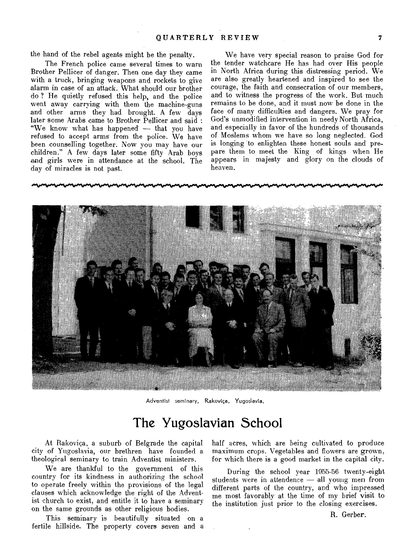the hand of the rebel agents might be the penalty.

The French police came several times to warn Brother Pellicer of danger. Then one day they came with a truck, bringing weapons and rockets to give alarm in case of an attack. What should our brother do ? He quietly refused this help, and the police went away carrying with them the machine-guns and other arms they had brought. A few days later some Arabs came to Brother Pellicer and said : "We know what has happened — that you have refused to accept arms from the police. We have been counselling together. Now you may have our children." A few days later some fifty Arab boys and girls were in attendance at the school. The day of miracles is not past.

We have very special reason to praise God for the tender watchcare He has had over His people in North Africa during this distressing period. We are also greatly heartened and inspired to see the courage, the faith and consecration of our members, and to witness the progress of the work. But much remains to be done, and it must now be done in the face of many difficulties and dangers. We pray for God's unmodified intervention in needy North Africa, and especially in favor of the hundreds of thousands of Moslems whom we have so long neglected. God is longing 'to enlighten these honest souls and prepare them to meet the King of kings when He appears in majesty and glory on the clouds of heaven.



Adventist seminary, Rakovica, Yugoslavia.

## The Yugoslavian School

At Rakovica, a suburb of Belgrade the capital city of Yugoslavia, our brethren have founded a theological seminary to train Adventist ministers.

We are thankful to the government of this country for its kindness in authorizing the school to operate freely within the provisions of the legal clauses which acknowledge the right of the Adventist church to exist, and entitle it to have a seminary on the same grounds as other religious bodies.

This seminary is beautifully situated on a fertile hillside. The property covers seven and a half acres, which are being cultivated to produce maximum crops. Vegetables and flowers are grown, for which there is a good market in the capital city.

During the school year 1955-56 twenty-eight students were in attendence — all young men from different parts of the country, and who impressed me most favorably at the time of my brief visit to the institution just prior to the closing exercises.

R. Gerber.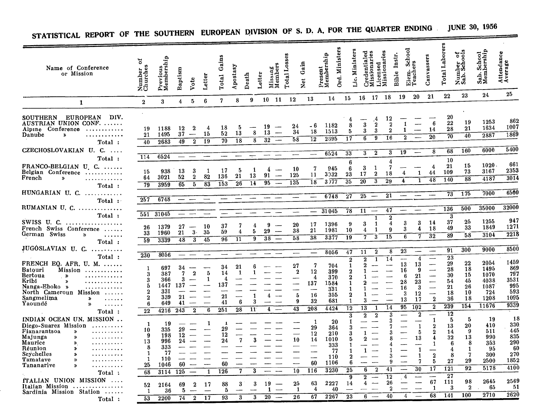| Name of Conference<br>or Mission                                                                                                                                                                                                                                               | ័<br>Number<br>Churches                                          | Previous<br>Membership                                              | Baptism                                              | Vote                                                      | Letter          | Gains<br>Total                                     | Apostasy                               | Death                        | Letter          | Missing<br>Members                                                                 | Total Losses                  | Gain<br>$\frac{1}{2}$                                              | Present<br>Membership | Ord. Ministers                               | Ministers<br>ن.<br>نا                    | Credentialed<br>Missionaries                             | Licensed<br>Missionaries                                                                 | lnstr.<br>Bible          | School<br>ers<br>Elem.<br>Teach                                        |                                                                           | Canvassers                                                                                                                   | Total Laborers                                                      | Number of<br>Sab. Schools                                  | Sab. School<br>Membership                                    | Attendance<br>Average                                        |
|--------------------------------------------------------------------------------------------------------------------------------------------------------------------------------------------------------------------------------------------------------------------------------|------------------------------------------------------------------|---------------------------------------------------------------------|------------------------------------------------------|-----------------------------------------------------------|-----------------|----------------------------------------------------|----------------------------------------|------------------------------|-----------------|------------------------------------------------------------------------------------|-------------------------------|--------------------------------------------------------------------|-----------------------|----------------------------------------------|------------------------------------------|----------------------------------------------------------|------------------------------------------------------------------------------------------|--------------------------|------------------------------------------------------------------------|---------------------------------------------------------------------------|------------------------------------------------------------------------------------------------------------------------------|---------------------------------------------------------------------|------------------------------------------------------------|--------------------------------------------------------------|--------------------------------------------------------------|
| $\mathbf{1}$                                                                                                                                                                                                                                                                   | $\boldsymbol{2}$                                                 | 3                                                                   | $\overline{4}$                                       | 5                                                         | 6               | $\overline{\mathbf{7}}$                            | 8                                      | 9                            | 10 <sub>1</sub> | 11                                                                                 | 12                            | 13                                                                 |                       | 14                                           | 15                                       | 16                                                       | <b>18</b><br>17                                                                          |                          | 19                                                                     | 20                                                                        | 21                                                                                                                           | 22                                                                  | 23                                                         | 24.                                                          | 25                                                           |
| <b>EUROPEAN</b><br><b>SOUTHERN</b><br>DIV.<br>AUSTRIAN UNION CONF.<br>Alpine Conference<br>. <b>.</b><br>Danube<br>$\bullet$<br>.<br>Total:                                                                                                                                    | 19<br>21<br>40                                                   | 1188<br>1495<br>2683                                                | 12<br>37<br>49                                       | $\boldsymbol{2}$<br>$\hspace{0.05cm}$<br>$\overline{2}$   | 4<br>15<br>19   | 18<br>52<br>70                                     | 5<br>13<br>$\overline{18}$             | 8<br>8                       | 19<br>13        | $\overline{32}$<br>$\overline{\phantom{0}}$                                        | 24<br>34<br>58                | - 6<br>18<br>$\overline{1}2$                                       | 1182<br>1513<br>2695  |                                              | 4<br>8<br>5<br>17                        | 3<br>3<br>6                                              | 12<br>.4<br>$\overline{2}$<br>$\overline{2}$<br>3<br>9<br>16                             | $\overline{2}$           | $\mathbf{1}$<br>1<br>$\bf{2}$                                          |                                                                           | 6<br>14<br>20                                                                                                                | 20<br>22<br>28<br>70                                                | 19<br>21<br>$\overline{40}$                                | 1253<br>1634<br>2887                                         | 862<br>1007<br>1869                                          |
| CZECHOSLOVAKIAN U. C.<br>$\sim$ $\sim$ $\sim$ $\sim$                                                                                                                                                                                                                           |                                                                  |                                                                     |                                                      |                                                           |                 |                                                    |                                        | $\div$                       |                 |                                                                                    |                               | $\overline{\phantom{0}}$                                           | 6524                  |                                              | 33                                       | 3                                                        | $\boldsymbol{2}$<br>3                                                                    |                          | 19                                                                     | $\overline{\phantom{m}}$                                                  | 8                                                                                                                            | 68                                                                  | 160                                                        | 6000                                                         | 5400                                                         |
| Total:<br>FRANCO-BELGIAN U. C.<br>Belgian Conference<br>French<br>$\boldsymbol{v}$<br>.                                                                                                                                                                                        | 114<br>15<br>64<br>$\overline{79}$                               | 6524<br>938<br>3021<br>3959                                         | $\qquad \qquad -$<br>13<br>52<br>65                  | 3<br>$\bf{2}$<br>5                                        | 1<br>82<br>83   | 17<br>136<br>153                                   | 5<br>21<br>26                          | 13<br>14                     | 91              | 4<br>$\overline{\phantom{a}}$<br>95<br>$\overline{\phantom{0}}$                    | 10<br>125<br>135              | 7<br>11<br>$\overline{18}$                                         | 3032<br>3)77          | 945                                          | 6<br>6<br>23<br>35                       | 3<br>17<br>$\overline{20}$                               | 7<br>$\mathbf{1}$<br>$\overline{2}$<br>18<br>$\overline{3}$<br>29                        | 4                        | 4<br>4                                                                 | 1<br>1                                                                    | 4<br>44<br>48                                                                                                                | 10<br>21<br>109<br>140                                              | 15<br>73<br>88                                             | 1020<br>3167<br>4187                                         | 661<br>2353<br>3014                                          |
| Total:<br>HUNGARIAN U. C.                                                                                                                                                                                                                                                      | 257                                                              | 6748                                                                |                                                      |                                                           |                 |                                                    |                                        |                              |                 |                                                                                    |                               |                                                                    | 6748                  |                                              | $\overline{27}$                          | 25                                                       | 21<br>$\overline{\phantom{m}}$                                                           |                          | $\overline{\phantom{a}}$                                               |                                                                           | $\overline{\phantom{a}}$                                                                                                     | 73                                                                  | 175                                                        | 7000                                                         | 6500                                                         |
| Total :<br>RUMANIAN U. $C_{1}, \ldots, C_{n}$                                                                                                                                                                                                                                  |                                                                  |                                                                     |                                                      |                                                           |                 |                                                    |                                        |                              |                 |                                                                                    |                               |                                                                    | 31045                 |                                              | $\overline{78}$                          | 11                                                       | 47<br>$\hspace{0.05cm}$                                                                  |                          |                                                                        |                                                                           |                                                                                                                              | 136                                                                 | 500                                                        | 35000                                                        | 32000                                                        |
| Total:<br>SWISS U. C.<br>. <i>.</i> .<br>French Swiss Conference<br>German Swiss<br>$\boldsymbol{\lambda}$<br>.                                                                                                                                                                | 551<br>26<br>33<br>$\overline{59}$                               | 31045<br>1379<br>1960<br>3339                                       | 27<br>21<br>48                                       | $\overline{\phantom{a}}$<br>3.<br>$\overline{\mathbf{3}}$ | 10<br>35<br>45  | 37<br>59<br>96                                     | $\overline{7}$<br>4<br>$\overline{11}$ | 4<br>5<br>9                  | 29              | 9<br>سب<br>$\overline{\phantom{a}}$<br>$\overline{38}$<br>$\overline{\phantom{0}}$ | 20<br>38<br>58                | 17<br>21<br>38                                                     | 1396<br>1981<br>3377  |                                              | 9<br>10<br>19                            | 3<br>4<br>7                                              | 1<br>1<br>1<br>15<br>3                                                                   | $\overline{2}$<br>4<br>9 | 3<br>3<br>6                                                            | 3<br>4<br>7                                                               | 14<br>18<br>32                                                                                                               | 3<br>37<br>49<br>$\overline{89}$                                    | 25<br>33<br>58                                             | 1255<br>1849<br>3104                                         | 947<br>1271<br>2218                                          |
| Total:<br>JUGOSLAVIAN U. C.                                                                                                                                                                                                                                                    |                                                                  |                                                                     |                                                      |                                                           |                 |                                                    | -                                      |                              |                 |                                                                                    |                               |                                                                    | 8056                  |                                              | 47                                       | 11                                                       | $\boldsymbol{2}$                                                                         | 8                        | 23                                                                     |                                                                           | $\overline{\phantom{a}}$                                                                                                     | 91                                                                  | 300                                                        | 9000                                                         | 8500                                                         |
| Total:<br>FRENCH EQ. AFR. U. M.<br><b>Batouri</b><br>Mission<br>Bertoua<br>$\rightarrow$<br>Kribi<br>$\pmb{\varkappa}$<br>.<br>Nanga-Eboko »<br>. <del>.</del><br>North Cameroun Mission<br>$\sim$<br>Sangmelima<br>$\rightarrow$<br>$\ldots$<br>Yaoundé<br>$\rightarrow$<br>. | 230<br>1<br>3<br>3<br>5<br>2<br>$\overline{2}$<br>6              | 8056<br>697<br>387<br>366<br>1447<br>331<br>339<br>649              | $\qquad \qquad -$<br>34<br>7<br>3<br>137<br>21<br>41 | $\overline{2}$                                            | 5<br>1          | 34<br>14<br>4<br>137<br>21<br>41                   | 21<br>1<br>$\boldsymbol{6}$            | ĥ<br>1<br>3                  |                 | $\overline{\mathbf{4}}$                                                            | 27<br>$\bf 2$<br>5<br>9<br>43 | 7<br>12<br>4<br>137<br>$\overline{\phantom{a}}$<br>16<br>32<br>208 | 1584<br>4424          | 704<br>399<br>370<br>331<br>355<br>681       | $\overline{2}$<br>1<br>1<br>2<br>1<br>12 | $\bf{2}$<br>2<br>3<br>$\overline{13}$                    | $\overline{14}$<br>$\mathbf{1}$<br>—<br>$\overline{\phantom{0}}$<br>$\overline{14}$<br>1 |                          | $\overline{\phantom{a}}$<br>13<br>16<br>6<br>28<br>16<br>3<br>13<br>95 | 4<br>13<br>9<br>21<br>23<br>3<br>12<br>17<br>$\overline{10}2$             | $\overline{\phantom{0}}$<br>$\overline{\phantom{0}}$<br>$\overline{\phantom{0}}$<br>—<br>$\bf{2}$<br>$\overline{2}$          | 23<br>29<br>28<br>30<br>54<br>21<br>18<br>36<br>239                 | $^{22}$<br>18<br>15<br>45<br>26<br>10<br>18<br>154         | 2054<br>1495<br>1070<br>4038<br>1087<br>724<br>1208<br>11676 | 1459<br>869<br>797<br>3531<br>995<br>593<br>1095<br>9339     |
| Total:<br>INDIAN OCEAN UN. MISSION<br>Diego-Suarez Mission<br>Fianarantsoa<br>$\boldsymbol{v}$<br>.<br>Majunga<br>$\mathbf{v}$<br>Maurice<br>≫.<br>Réunion<br>Seychelles<br>Tamatave<br>≫<br>.<br>Tananarive<br>≫<br>.<br>Total:                                               | 22<br>$\mathbf{1}$<br>10<br>9<br>13<br>8<br>-1<br>-1<br>25<br>68 | 4216<br>19<br>335<br>198<br>996<br>333<br>77<br>110<br>1046<br>3114 | 243<br>29<br>12<br>24<br>60<br>125                   | $\overline{2}$<br>مسد                                     | 6<br>-1<br>1    | 251<br>$\mathbf{I}$<br>29<br>12<br>24<br>60<br>126 | $\overline{28}$<br>$\overline{7}$<br>7 | 11<br>3<br>3                 |                 | ---<br>$\overline{\phantom{a}}$<br>$\overline{\phantom{0}}$                        | 10<br>10                      | 1<br>29<br>12<br>14<br>$\overline{\phantom{a}}$<br>60<br>116       | 1010<br>1106          | 20<br>364<br>210<br>333<br>77<br>110<br>3230 | 3<br>ħ<br>6<br>25                        | $\overline{\mathbf{2}}$<br>1<br>-9.<br>$\mathbf{1}$<br>6 | $\overline{2}$<br>---<br>$\overline{2}$<br>41                                            | 3                        |                                                                        | $\overline{2}$<br>$\mathbf{1}$<br>5<br>13<br>$\mathbf{1}$<br>1<br>7<br>30 | $\overline{\phantom{a}}$<br>$\mathbf{1}$<br>$\boldsymbol{2}$<br>$\bf{2}$<br>4<br>1<br>$\overline{2}$<br>5<br>$\overline{17}$ | $\overline{12}$<br>5<br>13<br>14<br>32<br>-6<br>4<br>8<br>27<br>121 | 5<br>20<br>9<br>13<br>8<br>1<br>7<br>29<br>$\overline{92}$ | 19<br>410<br>511<br>990<br>353<br>95<br>300<br>2500<br>5178  | -18<br>330<br>445<br>835<br>290<br>60<br>270<br>1852<br>4100 |
| fTALIAN UNION MISSION<br>Italian Mission<br>Sardinia Mission Station<br>Total:                                                                                                                                                                                                 | 52<br>1<br>$\overline{53}$                                       | 2164<br>36<br>2200                                                  | 69<br>5<br>74                                        | $\bf{2}$<br>$\overline{\phantom{a}}$<br>$\boldsymbol{2}$  | -17<br>--<br>17 | 88<br>5<br>93                                      | 3<br>$\overline{\mathbf{3}}$           | 3<br>$\overline{\mathbf{3}}$ |                 | 19<br>$\mathbf{1}$<br>$\overline{20}$<br>$\overline{\phantom{0}}$                  | 25<br>$\mathbf{1}$<br>26      | 63<br>4<br>67                                                      | 2227<br>2267          | 40                                           | 9<br>14<br>$\overline{23}$               | $\overline{\mathbf{2}}$<br>4<br>6                        | 12<br>26<br>للسنة<br>40                                                                  |                          | 4<br>4                                                                 |                                                                           | -<br>67<br>$\mathbf{1}$<br>68                                                                                                | 27<br>111<br>3<br>141                                               | 98<br>$\overline{2}$<br>100                                | 2645<br>65<br>$\overline{2710}$                              | 2569<br>-51<br>2620                                          |

# STATISTICAL REPORT OF THE SOUTHERN EUROPEAN DIVISION OF S. D. A. FOR THE QUARTER ENDING **JUNE 30, 1956**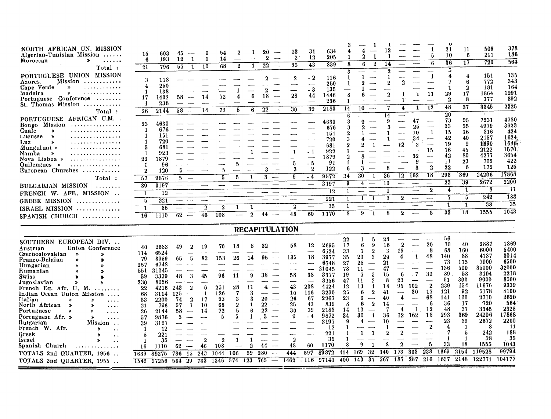| NORTH AFRICAN UN. MISSION<br>Algerian-Tunisian Mission<br>Moroccan<br>≫<br>$\cdots$<br>Total:                                                                                                                                                                                                                                                                                                                                                                                                                                                                                                                                                                                                                            | 15<br>6<br>21                                                                                                                               | 603<br>193<br>796                                                                                                                                         | 45<br>$\mathbf{1}$<br>12<br>57<br>$\mathbf{1}$                                                                                                                                       | 9<br>1<br>10                                                                     | 54<br>14<br>68                                                                                                                      | 2<br>$\overline{2}$                                                                 | 1<br>1                                                                | 20<br>2<br>$\overline{\phantom{a}}$<br>$22\,$<br>$\overline{\phantom{a}}$                                                                                                             | 23<br>$\bf{2}$<br>25                                                                      | 31<br>12<br>$\overline{43}$                                                                                                                                                                                                 | 634<br>205<br>839                                                                                                                                         | 8<br>3                                                                                                                                                  | $\mathbf 2$<br>6                                                                                                                                                                                                                                                                                                     | 12<br>14<br>2                                                                                |                                                                                                                                                         |                                                                                                                          | 5<br>ĥ                                                                                                                   | 21<br>10<br>36<br>5                                                                                                          | 11<br>6<br>17                                                                                                                    | 509<br>211<br>720                                                                                                                                                | 378<br>186<br>564                                                                                                                                            |
|--------------------------------------------------------------------------------------------------------------------------------------------------------------------------------------------------------------------------------------------------------------------------------------------------------------------------------------------------------------------------------------------------------------------------------------------------------------------------------------------------------------------------------------------------------------------------------------------------------------------------------------------------------------------------------------------------------------------------|---------------------------------------------------------------------------------------------------------------------------------------------|-----------------------------------------------------------------------------------------------------------------------------------------------------------|--------------------------------------------------------------------------------------------------------------------------------------------------------------------------------------|----------------------------------------------------------------------------------|-------------------------------------------------------------------------------------------------------------------------------------|-------------------------------------------------------------------------------------|-----------------------------------------------------------------------|---------------------------------------------------------------------------------------------------------------------------------------------------------------------------------------|-------------------------------------------------------------------------------------------|-----------------------------------------------------------------------------------------------------------------------------------------------------------------------------------------------------------------------------|-----------------------------------------------------------------------------------------------------------------------------------------------------------|---------------------------------------------------------------------------------------------------------------------------------------------------------|----------------------------------------------------------------------------------------------------------------------------------------------------------------------------------------------------------------------------------------------------------------------------------------------------------------------|----------------------------------------------------------------------------------------------|---------------------------------------------------------------------------------------------------------------------------------------------------------|--------------------------------------------------------------------------------------------------------------------------|--------------------------------------------------------------------------------------------------------------------------|------------------------------------------------------------------------------------------------------------------------------|----------------------------------------------------------------------------------------------------------------------------------|------------------------------------------------------------------------------------------------------------------------------------------------------------------|--------------------------------------------------------------------------------------------------------------------------------------------------------------|
| PORTUGUESE UNION MISSION<br>Mission<br>Azores<br>Cape Verde<br>$\boldsymbol{v}$<br>.<br>Madeira<br>$\mathbf{v}$<br>. <i>.</i><br>Portuguese Conference<br>.<br>St. Thomas Mission                                                                                                                                                                                                                                                                                                                                                                                                                                                                                                                                        | 3<br>4<br>$\mathbf{1}$<br>17<br>1                                                                                                           | 118<br>250<br>138<br>1402<br>236                                                                                                                          | 58                                                                                                                                                                                   | 14                                                                               | 72                                                                                                                                  |                                                                                     | 6                                                                     | 2<br>18                                                                                                                                                                               | 28                                                                                        | $-2$<br>- 3<br>44<br>39                                                                                                                                                                                                     | 116<br>250<br>135<br>1446<br>236<br>2183                                                                                                                  | $\mathbf{1}$<br>8<br>1<br>14                                                                                                                            | 1<br>2<br>10                                                                                                                                                                                                                                                                                                         | $\overline{2}$<br>$\overline{2}$<br>7                                                        | $\overline{2}$<br>-1<br>4                                                                                                                               | $\mathbf{I}$<br>1                                                                                                        | $\mathbf{1}$<br>11<br>12                                                                                                 | 4<br>7<br>1<br>29<br>$\overline{2}$<br>48                                                                                    | 4<br>6<br>$\overline{2}$<br>17<br>8<br>37                                                                                        | 151<br>772<br>181<br>1864<br>377<br>3345                                                                                                                         | 135<br>343<br>164<br>1291<br>392<br>2325                                                                                                                     |
| Total:<br>PORTUGUESE AFRICAN U.M.<br>Bongo Mission<br>. . <b>. .</b> .<br>Cuale<br>$\rightarrow$<br>.<br>Lucusse<br>≫<br>Luz<br>$\rightarrow$<br>Munguluni »<br>.<br>Namba<br>$\rightarrow$<br>Nova Lisboa »<br>. <i>.</i><br>$Quilenques \rightarrow$<br>European Churches $\ldots$ , $\ldots$<br>Total:<br>BULGARIAN MISSION<br>.<br>FRENCH W. AFR. MISSION<br><b>GREEK MISSION</b><br>.<br><b>ISRAEL MISSION</b><br>SPANISH CHURCH                                                                                                                                                                                                                                                                                    | 26<br>23<br>$\mathbf{1}$<br>$\mathbf{1}$<br>$\mathbf{1}$<br>5<br>-1<br>22<br>-1<br>2<br>57<br>39<br>$\mathbf{1}$<br>5<br>$\mathbf{1}$<br>16 | 2144<br>4630<br>676<br>151<br>720<br>681<br>923<br>1879<br>96<br>120<br>9876<br>3197<br>$12 \,$<br>221<br>35<br>1110                                      | 58<br>$\overline{\phantom{a}}$<br>5<br>5.<br>$\sim$<br>---<br>$-$<br>$\overline{62}$<br>$\overline{\phantom{0}}$                                                                     | 14<br>$\overline{2}$<br>46                                                       | 72<br>5<br>$\boldsymbol{2}$<br>108                                                                                                  | 5<br>5                                                                              | 6<br>$\bf{2}$                                                         | $\overline{22}$<br>$\overline{\phantom{a}}$<br>З<br>44<br>$\sim$                                                                                                                      | 30<br>5<br>3<br>9<br>$\overline{\mathbf{2}}$<br>48                                        | - 1<br>$-5$<br>$\boldsymbol{2}$<br>$-4$<br>—<br>—<br>60                                                                                                                                                                     | 4630<br>676<br>151<br>720<br>681<br>922<br>1879<br>91<br>122<br>9872<br>3197<br>12<br>221<br>$\overline{35}$<br>1170                                      | $\boldsymbol{6}$<br>8<br>3<br>$\boldsymbol{2}$<br>3<br>$\boldsymbol{\Omega}$<br>1<br>$\overline{2}$<br>1<br>6<br>34<br>9<br>1<br>$\mathbf{1}$<br>1<br>8 | 9<br>8<br>3<br>30<br>4<br>$\qquad \qquad$<br>$-\!$<br>-1<br>1<br>—<br>9<br>$\mathbf{1}$                                                                                                                                                                                                                              | 14<br>9<br>8<br>36<br>10<br>$\mathbf{1}$<br>$\overline{\mathbf{2}}$<br>8                     | ╌<br>12<br>$\overline{\phantom{a}}$<br>$\boldsymbol{2}$<br>$\overline{2}$                                                                               | 47<br>25<br>10<br>34<br>2<br>32<br>g<br>3<br>$12 \overline{162}$<br>$\overline{\phantom{a}}$<br>للمحامد                  | $\overline{\phantom{a}}$<br>1<br>15<br>$\overline{\phantom{a}}$<br>$\overline{2}$<br>18<br>$\boldsymbol{2}$<br>---<br>5. | 20<br>73<br>33<br>15<br>42<br>19<br>16<br>42<br>11<br>22<br>$\overline{293}$<br>23<br>4<br>7<br>33                           | 95<br>55<br>16<br>40<br>9<br>45<br>80<br>23<br>6<br>369<br>39<br>$\mathbf{1}$<br>$\overline{5}$<br>1<br>18                       | 7231<br>4979<br>816<br>2157<br>1690<br>2122<br>4277<br>762<br>172<br>24206<br>2672<br>8<br>242<br>$\overline{38}$<br>1555                                        | 4780<br>3623<br>424<br>1624<br>1646<br>1570<br>3654<br>422<br>125<br>17868<br>2200<br>11<br>188<br>$\overline{35}$<br>1043                                   |
|                                                                                                                                                                                                                                                                                                                                                                                                                                                                                                                                                                                                                                                                                                                          |                                                                                                                                             |                                                                                                                                                           |                                                                                                                                                                                      |                                                                                  |                                                                                                                                     |                                                                                     |                                                                       | <b>RECAPITULATION</b>                                                                                                                                                                 |                                                                                           |                                                                                                                                                                                                                             |                                                                                                                                                           |                                                                                                                                                         |                                                                                                                                                                                                                                                                                                                      |                                                                                              |                                                                                                                                                         |                                                                                                                          |                                                                                                                          |                                                                                                                              |                                                                                                                                  |                                                                                                                                                                  |                                                                                                                                                              |
| SOUTHERN EUROPEAN DIV.<br>Union Conference<br>Austrian<br>Czecnoslovakian<br>$\boldsymbol{v}$<br>$\boldsymbol{v}$<br>Franco-Belgian<br>⋟<br>,<br>Hungarian<br>$\mathbf{v}$<br>$\boldsymbol{v}$<br>Rumanian<br>y,<br>$\boldsymbol{v}$<br>Swiss<br>Þ<br>×<br>Jugoslavian<br>$\mathbf{v}$<br>$\boldsymbol{v}$<br>French Eq. Afr. U. M.<br>1.1.1.1.1.1.1<br>Indian Ocean Union Mission<br>Italian<br>$\boldsymbol{v}$<br>.<br>North African<br>$\rightarrow$<br>.<br>Portuguese<br>$\rightarrow$<br>≫<br>.<br>Portuguese Afr. »<br>≫<br>.<br>Bulgarian<br>Mission<br>French W. Afr.<br>»<br>Greek<br><i><u><b>Israel</b></u></i><br>$\mathbf{v}$<br>Spanish Church<br>TOTALS 2nd QUARTER, 1956.<br>TOTALS 2nd QUARTER, 1955. | 40<br>114<br>79<br>257<br>551<br>59<br>230<br>22<br>68<br>53<br>21<br>26<br>57<br>39<br>1<br>5<br>-1<br>16<br>1639<br>1542                  | 2683<br>6524<br>3959<br>6748<br>31045<br>3339<br>8056<br>4216<br>3114<br>2200<br>796<br>2144<br>9876<br>3197<br>12<br>221<br>35<br>1110<br>89275<br>97256 | 49<br>2<br>--<br>65<br>5<br>48<br>3<br>243<br>$\bf{2}$<br>125<br>$\boldsymbol{2}$<br>74<br>57<br>1<br>58<br>$\sim$<br>5<br>62<br>$\overline{\phantom{m}}$<br>786<br>-15<br>584<br>29 | 19<br>83<br>45<br>6<br>1<br>17<br>10<br>14<br>$\overline{2}$<br>46<br>243<br>733 | 70<br>$\sim$<br>153<br>$\overline{\phantom{a}}$<br>96<br>251<br>126<br>93<br>68<br>72<br>5<br>$\overline{2}$<br>108<br>1044<br>1346 | 18<br>26<br>11<br>28<br>3<br>$\overline{2}$<br>5<br>5<br>$\mathbf{1}$<br>106<br>574 | 14<br>9<br>11<br>3<br>1<br>6<br>$\mathbf{1}$<br>$\bf{2}$<br>59<br>123 | 32<br>95<br>38<br>4<br>$\overline{\phantom{a}}$<br>20<br>سيب<br>22<br>$\overline{\phantom{a}}$<br>22<br>$\overline{\phantom{m}}$<br>3<br>44<br>280<br>765<br>$\overline{\phantom{m}}$ | 58<br>135<br>58<br>43<br>10<br>26<br>25<br>30<br>9<br>$\overline{2}$<br>48<br>444<br>1462 | 12<br>—<br>——<br>18<br>---<br>$\overline{\phantom{0}}$<br>38<br>$\overline{\phantom{0}}$<br>208<br>116<br>-67<br>43<br>39<br>- 4<br>——<br>——<br>$\overline{\phantom{a}}$<br>$\overline{\phantom{0}}$<br>60<br>597<br>$-116$ | 2695<br>6524<br>3977<br>6748<br>31045<br>3377<br>8056<br>4424<br>3230<br>2267<br>839<br>2183<br>9872<br>3197<br>12<br>221<br>35<br>1170<br>89872<br>97140 | $22\,$<br>17<br>33<br>35<br>27<br>78<br>19<br>47<br>12<br>25<br>23<br>8<br>14<br>34<br>9<br>8<br>414<br>400                                             | 1<br>5<br>6<br>9<br>3<br>$\overline{2}$<br>20<br>3<br>25<br>11<br>$\overline{\mathbf{3}}$<br>7<br>$\overline{2}$<br>11<br>13<br>1<br>ĥ<br>$\boldsymbol{2}$<br>6<br>$\overline{2}$<br>6<br>10<br>$\overline{\phantom{0}}$<br>30<br>$\mathbf{1}$<br>4<br>$\mathbf{1}$<br>1<br>9<br>$\overline{32}$<br>169<br>143<br>37 | 28<br>16<br>29<br>21<br>47<br>15<br>8<br>14<br>41<br>40<br>14<br>36<br>10<br>8<br>340<br>367 | $\overline{2}$<br>19<br>4<br>6<br>23<br>95<br>$\overline{\phantom{a}}$<br>4<br>$\boldsymbol{4}$<br>12<br>$\overline{2}$<br>$\overline{2}$<br>173<br>187 | $\overline{\phantom{a}}$<br>1<br>$\cdot$ 7<br>102<br>30<br>$\mathbf{1}$<br>162<br>$\overline{\phantom{0}}$<br>303<br>287 | 20<br>8<br>48<br>32<br><u>in a</u><br>$\overline{2}$<br>17<br>68<br>ß<br>12<br>18<br>$\overline{2}$<br>5<br>238<br>216   | 56<br>70<br>68<br>140<br>73<br>136<br>89<br>91<br>239<br>121<br>141<br>36<br>48<br>293<br>23<br>4<br>7<br>33<br>1669<br>1637 | 40<br>160<br>88<br>175<br>500<br>-58<br>300<br>154<br>92<br>100<br>-17<br>37<br>369<br>39<br>-1<br>5<br>-1<br>18<br>2154<br>2148 | 2887<br>6000<br>4187<br>7000<br>35000<br>3104<br>9000<br>11676<br>5178<br>2710<br>$-720$<br>3345<br>24206<br>2672<br>-8<br>242<br>38<br>1555<br>119528<br>122771 | 1869<br>5400<br>3014<br>6500<br>32000<br>2218<br>8500<br>9339<br>4100<br>2620<br>564<br>2325<br>17868<br>2200<br>-11<br>188<br>35<br>1043<br>99794<br>104177 |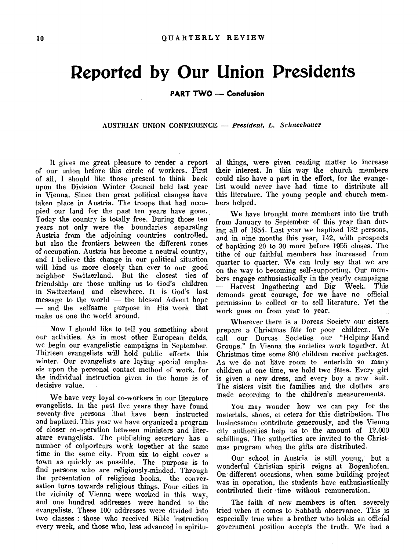# **Reported by Our Union Presidents**

**PART TWO — Conclusion** 

**AUSTRIAN UNION CONFERENCE —** *President, L. Schneebauer* 

It gives me great pleasure to render a report of our union before this circle of workers. First of all, I should like those present to think back upon the Division Winter Council held last year in Vienna. Since then great political changes have taken place in Austria. The troops that had occupied our land for the past ten years have gone. Today the country is totally free. During those ten years not only were the boundaries separating Austria from the adjoining countries controlled, but also the frontiers between the different zones of occupation. Austria has become a neutral country, and I believe this change in our political situation will bind us more closely than ever to our good neighbor Switzerland. But the closest ties of friendship are those uniting us to God's children in Switzerland and elsewhere. It is God's last message to the world — the blessed Advent hope — and the selfsame purpose in His work that make us one the world around.

Now **I** should like to tell you something about our activities. As in most other European fields, we begin our evangelistic campaigns in September. Thirteen evangelists will hold public efforts this winter. Our evangelists are laying special emphasis upon the personal contact method of work, for the individual instruction given in the home is of decisive value.

We have very loyal co-workers in our literature evangelists. In the past five years they have found seventy-five persons that have been instructed and baptized. This year we have organized a program of closer co-operation between ministers and literature evangelists. The publishing secretary has a number of colporteurs work together at the same time in the same city. From six to eight cover a town as quickly as possible. The purpose is to find persons who are religiously-minded. Through the presentation of religious books, the conversation turns towards religious things. Four cities in the vicinity of Vienna were worked in this way, and one hundred addresses were handed to the evangelists. These 100 addresses were divided into two classes : those who received Bible instruction every week, and those who, less advanced in spiritu-

al things, were given reading matter to increase their interest. In this way the church members could also have a part in the effort, for the evangelist would never have had time to distribute all this literature. The young people and church members helped.

We have brought more members into the truth from January to September of this year than during all of 1954. Last year we baptized 132 persons, and in nine months this year, 142, with prospects of baptizing 20 to 30 more before 1955 closes. The tithe of our faithful members has increased from quarter to quarter. We can truly say that we are on the way to becoming self-supporting,. Our members engage enthusiastically in the yearly campaigns — Harvest Ingathering and Big Week. This demands great courage, for we have no official permission to collect or to sell literature. Yet the work goes on from year to year.

Wherever there is a Dorcas Society our sisters prepare a Christmas fête for poor children. We call our Dorcas Societies our "Helping Hand Groups." In Vienna the societies work together. At, Christmas time some 800 children receive packages. As we do not have room to entertain so many children at one time, we hold two fetes. Every girl is given a new dress, and every boy a new suit. The sisters visit the families and the clothes are made according to the children's measurements.

You may wonder how we can pay for the materials, shoes, et cetera for this distribution. The businessmen contribute generously, and the Vienna city authorities help us to the amount of 12,000 schillings. The authorities are invited to the Christmas program when the gifts are distributed.

Our school in Austria is still young, but a wonderful Christian spirit reigns at Bogenhofen. On different occasions, when some building project was in operation, the students have enthusiastically contributed their time without remuneration.

The faith of new members is often severely tried when it comes to Sabbath observance. This is especially true when a brother who holds an official government position accepts the truth. We had a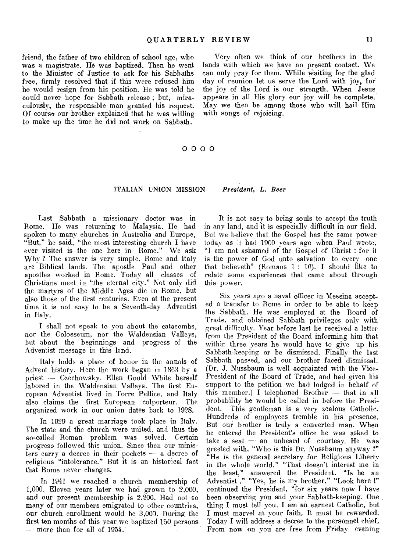friend, the father of two children of school age, who was a magistrate. He was baptized. Then he went to the Minister of Justice to ask for his Sabbaths free, firmly resolved that if this were refused him he would resign from his position. He was told he could never hope for Sabbath release ; but, miraculously, the responsible man granted his request. Of course our brother explained that he was willing to make up the time he did not work on Sabbath.

Very often we think of our brethren in the lands with which we have no present contact. We can only pray for them. While waiting for the glad day of reunion let us serve the Lord with joy, for the joy of the Lord is our strength. When Jesus appears in all His glory our joy will he complete. May we then be among those who will hail Him with songs of rejoicing.

### 0 0 0 0

#### ITALIAN UNION MISSION — *President, L. Beer*

Last Sabbath a missionary doctor was in Rome. He was returning to Malaysia. He had spoken to many churches in Australia and Europe, "But," he said, "the most interesting church I have ever visited is the one here in Rome." We ask Why ? The answer is very simple. Rome and Italy are Biblical lands. The apostle Paul and other apostles worked in Rome. Today all classes of Christians meet in "the eternal city." Not only did the martyrs of the Middle Ages die in Rome, but also those of the first centuries. Even at the present time it is not easy to be a Seventh-day Adventist in Italy.

I shall not speak to you about the catacombs, nor the Colosseum, nor the Waldensian Valleys, but about the beginnings and progress of the Adventist message in this land.

Italy holds a place of honor in the annals of Advent history. Here the work began in 1863 by a priest — Czechowsky. Ellen Gould White herself labored in the Waldensian Valleys. The first European Adventist lived in Torre Pellice. and Italy also claims the first European colporteur. The organized work in our union dates back to 1928.

In 1929 a great marriage took place in Italy. The state and the church were united, and thus the so-called Roman problem was solved. Certain progress followed this union. Since then our ministers carry a decree in their pockets — a. decree of religious "intolerance." But it is an historical fact that Rome never changes.

In 1941 we reached a church membership of 1,000. Eleven years later we had grown to 2,000, and our present membership is 2,200. Had not so many of our members emigrated to other countries, our church enrollment would be 3,000. During the first ten months of this year we baptized 150 persons — more than for all of 1954.

It is not easy to bring souls to accept the truth in any land, and it is especially difficult in our field. But we believe that the Gospel has the same power today as it had 1900 years ago when Paul wrote, "I am not ashamed of the Gospel of Christ : for it is the power of God unto salvation to every one that believeth" (Romans 1 : 16). I should like to relate some experiences that came about through this power.

Six years ago a naval officer in Messina accepted a transfer to Rome in order to be able to keep the Sabbath. He was employed at the Board of Trade, and obtained Sabbath privileges only with great difficulty. Year before last he received a letter from the President of the Board informing him that within three years he would have to give up his Sabbath-keeping or be dismissed. Finally the last Sabbath passed, and our brother faced dismissal. (Dr. J. Nussbaum is well acquainted with the Vice-President of the Board of Trade, and had given his support to the petition we had lodged in behalf of this member.) I telephoned Brother — that in all probability he would be called in before the President. This gentleman is a very zealous Catholic. Hundreds of employees tremble in his presence. But our brother is truly a converted man. When he entered the President's office he was asked to take a seat  $-$  an unheard of courtesy. He was greeted with, "Who is this Dr. Nussbaum anyway ?" "He is the general secretary for Religious Liberty in the whole world." "That doesn't interest me in the least," answered the President. "Is he an Adventist ." "Yes, he is my brother." "Look here !" continued the President, "for six years now I have been observing you and your Sabbath-keeping. One thing I must tell you. I am an earnest Catholic, but I must marvel at your faith. It must be rewarded. Today I will address a decree to the personnel chief. From now on you are free from Friday evening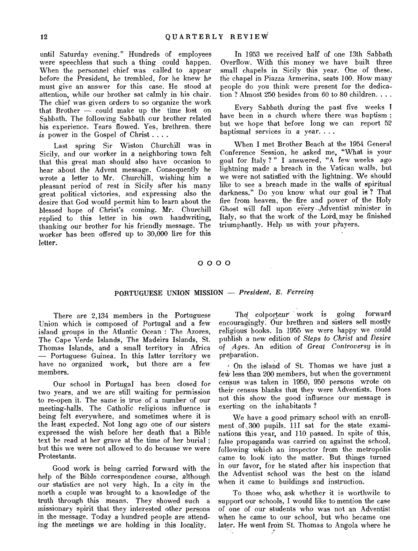until Saturday evening." Hundreds of employees were speechless that such a thing could happen. When the personnel chief was called to appear before the President, he trembled, for he knew he must give an answer for this case. He stood at attention, while our brother sat calmly in his chair. The chief was given orders to so organize the work that Brother — could make up the time lost on Sabbath. The following Sabbath our brother related his experience. Tears flowed. Yes, brethren, there *is* power in the Gospel of Christ . . . .

Last spring Sir Wiston Churchill was in Sicily, and our worker in a neighboring town felt that this great man should also have occasion to hear about the Advent message. Consequently he wrote a letter to Mr. Churchill, wishing him a pleasant period of rest in Sicily after his many great political victories, and expressing also the desire that God would permit him to learn about the blessed hope of Christ's coming. Mr. Churchill replied to this letter in his own handwriting, thanking our brother for his friendly message. The worker has been offered up to 30,000 lire for this letter.

In 1953 we received half of one 13th Sabbath Overflow. With this money we have built three small chapels in Sicily this year. One of these. the chapel in Piazza Armerina, seats 100. How many people do you think were present for the dedication ? Almost 250 besides from 60 to 80 children. . . .

Every Sabbath during the past five weeks I have been in a church where there was baptism; but we hope that before long we can report 52 baptismal services in a year. . . .

When I met Brother Beach at the 1954 General Conference Session, he asked me, "What is your goal for Italy ? " I answered, "A few weeks ago lightning made a breach in the Vatican walls, but we were not satisfied with the lightning. We should like to see a breach made in the walls of spiritual darkness." Do you know what our goal is ? That fire from heaven, the fire and power of the Holy Ghost will fall upon every -Adventist minister in Italy, so that the work of the Lord, may be finished triumphantly. Help us with your prayers.

#### 0 0 0 0

#### PORTUGUESE UNION MISSION — *President, E. Ferreira*

There are 2,134 members in the Portuguese Union which is composed of Portugal and a few island groups in the Atlantic Ocean : The Azores, The Cape Verde Islands, The Madeira Islands, St. Thomas Islands, and a small territory in Africa — Portuguese Guinea. In this latter territory we have no organized work, but there are a few members.

Our school in Portugal has been closed for two years, and we are still waiting for permission to re-open it. The same is true of a number of our meeting-halls. The Catholic religious influence is being felt everywhere, and sometimes where it is the least expected. Not long ago one of our sisters expressed the wish before her death that a Bible text be read at her grave at the time of her burial ; but this we were not allowed to do because we were Protestants.

Good work is being carried forward with the help of the Bible correspondence course, although our statistics are not very high. In a city in the north a couple was brought to a knowledge of the truth through this means. They showed such a missionary spirit that they interested other persons in the message. Today a hundred people are attending the meetings we are holding in this locality.

The colporteur work is going forward encouragingly. Our brethren and sisters sell mostly religious books. In 1955 we were happy we could publish a new edition of *Steps to Christ* and *Desire of ,Ages.* An edition of *Great Controversy* is in preparation.

On the island of St. Thomas we have just a few less than 200 members, but when the government census was taken in 1950, 950 persons wrote on their census blanks that they were Adventists. Does not this show the good influence our message is exerting on the inhabitants ?

We have a good primary school with an enrollment of ,300 pupils. 111 sat for the state examinations this year, and 110 passed. In spite of this, false propaganda was carried on against the school, following which an inspector from the metropolis came to look into the matter. But things turned in our favor, for he stated after his inspection that the Adventist school was the best on the island when it came to buildings and instruction.

To those who, ask whether it is worthwile to support our schools, I would like to mention the case of one of our students who was not an Adventist when he came to our school, but who became one later. He went from St. Thomas to Angola where he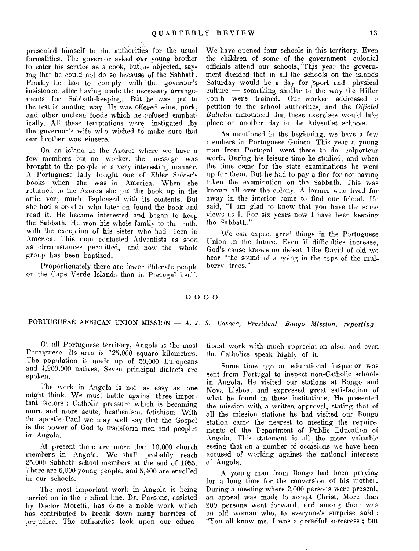presented himself to the authorities for the usual formalities. The governor asked our young brother to enter his service as a cook, but he objected, saying that he could not do so because of the Sabbath. Finally he had to comply with the governor's insistence, after having made the necessary arrangements for Sabbath-keeping. But he was put to the test in another way. He was offered wine, pork, and other unclean foods which he refused emphatically. All these temptations were instigated by the governor's wife who wished to make sure that our brother was sincere.

On an island in the Azores where we have a few members but no worker, the message was brought to the people in a very interesting manner. A Portuguese lady bought one of Elder Spicer's books when she was in America. When she returned to the Azores she put the book up in the attic, very much displeased with its contents. But she had a brother who later on found the book and read it. He became interested and began to keep the Sabbath. He won his whole family to the truth, with the exception of his sister who had been in America. This man contacted Adventists as soon as circumstances permitted, and now the whole group has been baptized.

Proportionately there are fewer illiterate people on the Cape Verde Islands than in Portugal itself. We have opened four schools in this territory. Even the children of some of the government colonial officials attend our schools. This year the government decided that in all the schools on the islands Saturday would be a day for sport and physical culture — something similar to. the way the Hitler youth were trained. Our worker addressed a petition to the school authorities, and the *Official Bulletin* announced that these exercises would take place on another day in the Adventist schools.

As mentioned in the beginning, we have a few members in Portuguese Guinea. This year a young man from Portugal went there to do colporteur work. During his leisure time he studied, and when the time came for the state examinations he went up for them. Put he had to pay a fine for not having taken the examination on the Sabbath. This was known all over the colony. A farmer who lived far away in the interior came to find our friend. He said, "I am glad to know that you have the same views as I. For six years now I have been keeping the Sabbath."

We can expect great things in the Portuguese Union in the future. Even if difficulties increase, God's cause knows no defeat. Like David of old we hear "the sound of a going in the tops of the mulberry trees."

#### 0 0 0 0

## PORTUGUESE AFRICAN UNION. MISSION — A. *J. S. Casaca, President Bongo Mission, reporting*

Of all Portuguese territory, Angola is the most Portuguese. Its area is 125,000 square kilometers. The population is made up of 50,000 Europeans and 4,200,000 natives. Seven principal dialects are spoken.

The work in Angola is not as easy as one might think. We must battle against three important factors : Catholic pressure which is becoming more and more acute, heathenism, fetishism. With the apostle Paul we may well say that the Gospel is the power of God to transform men and peoples in Angola.

At present there are more than 10,000 church members in Angola. We shall probably reach 25,000 Sabbath school members at the end of 1955. There are 6,000 young people, and 5,400 are enrolled in our schools.

The most important work in Angola is being carried on in the medical line. Dr. Parsons, assisted by Doctor Moretti, has done a noble work which has contributed to break down many barriers of prejudice. The authorities look upon our educa -

tional work with much appreciation also, and even the Catholics speak highly of it.

Some time ago an educational inspector was sent from Portugal to inspect non-Catholic schools in Angola. He visited our stations at Bongo and Nova Lisboa, and expressed great satisfaction of what he found in these institutions. He presented the mission with a written approval, stating that of all the mission stations he had visited our Bongo station came the nearest to meeting the requirements of the Department of Public Education of Angola. This statement is all the more valuable seeing that on a number of occasions we have been accused of working against the national interests of Angola.

A young man from Bongo had been praying for a long time for the conversion of his mother. During a meeting where 2,000 persons were present, an appeal was made to accept Christ. More than 200 persons went forward, and among them was an old woman who, to everyone's surprise said : "You all know me. I was a dreadful sorceress ; but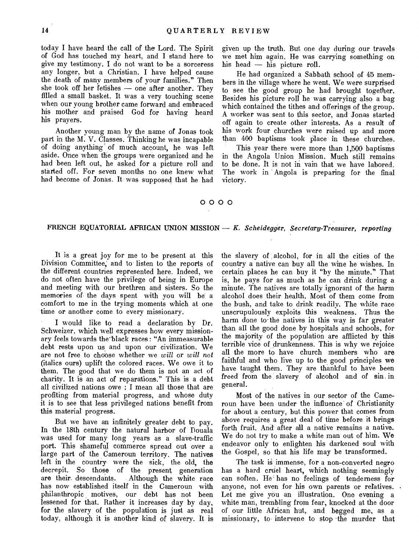today I have heard the call of the Lord. The Spirit of God has touched my heart, and I stand here to give my testimony. I do not want to be a sorceress any longer, but a Christian. I have helped cause the death of many members of your families." Then she took off her fetishes — one after another. They filled a small basket. It was a very touching scene when our young brother came forward and embraced his mother and praised God for having heard his prayers.

Another young man by the name of Jonas took part in the M. V. Classes. Thinking he was incapable of doing anything' of much account, he was left aside. Once when the groups were organized and he had been left out, he asked for a picture roll and started off. For seven months no one knew what had become of Jonas. It was supposed that he had

given up the truth. But one day during our travels we met him again. He was carrying something on his head — his picture roll.

He had organized a Sabbath school of 45 members in the village where he went. We were surprised to see the good group he had brought together. Besides his picture roll he was carrying also a bag which contained the tithes and offerings of the group. A worker was sent to this sector, and Jonas started off again to create other interests. As a result of his work four churches were raised up and more than  $400$  baptisms took place in these churches.

This year there were more than 1,500 baptisms in the Angola Union Mission. Much still remains to be done. It is not in vain that we have labored. The work in Angola is preparing for the final victory.

### 0 0 0 0

#### FRENCH EQUATORIAL AFRICAN UNION MISSION — *K. Scheidegger, Secretarg-Treasurer, reporting*

It is a great joy for me to be present at this Division Committee; and to listen to the reports of the different countries represented here. Indeed, we do not often have the privilege of being in Europe and meeting with our brethren and sisters. So the memories of the days spent with you will be a comfort to me in the trying moments which at one time or another come to every missionary.

I would like to read a declaration by Dr. Schweizer, which well expresses how every missionary feels towards the'black races : "An immeasurable debt rests upon us and upon our civilization. We are not free to choose whether we *will* or *will not*  (italics ours) uplift the colored races. We owe it to them. The good that we do them is not an act of charity. It is an act of reparations." This is a debt all civilized nations owe : I mean all those that are profiting from material progress, and whose duty it is to see that less privileged nations benefit from this material progress.

But we have an infinitely greater debt to pay. In the 18th century the natural harbor of Douala was used for many long years as a slave-traffic port. This shameful commerce spread out over a large part of the Cameroun territory. The natives left in the country were the sick, the old, the decrepit. So those of the present generation are their descendants. Although the white race Although the white race has now established itself in the Cameroun with philanthropic motives, our debt has not been lessened for that. Rather it increases day by day, for the slavery of the population is just as real today, although it is another kind of slavery. It is the slavery of alcohol, for in all the cities of the country a native can buy all the wine he wishes. In certain places he can buy it "by the minute." That is, he pays for as much as he can drink during a minute. The natives are totally ignorant of the harm alcohol does their health. Most of them come from the hush, and take to drink readily. The white race unscrupulously exploits this weakness. Thus the harm done to the natives in this way is far greater than all the good done by hospitals and schools, for the majority of the population are afflicted by this terrible vice of drunkenness. This is why we rejoice all the more to have church members who are faithful and who live up to the good principles we have taught them. They are thankful to have been freed from the slavery of alcohol and of sin in general.

Most of the natives in our sector of the Cameroun have been under the influence of Christianity for about a century, but this power that comes from above requires a great deal of time before it brings forth fruit. And after all a native remains a native. We do not try to make a white man out of him. We endeavor only to enlighten his darkened soul with the Gospel, so that his life may be transformed.

The task is immense, for a non-converted negro has a hard cruel heart, which nothing seemingly can soften. He' has no feelings of tenderness for anyone, not even for his own parents or relatives. Let me give you an illustration. One evening a white man, trembling from fear, knocked at the door of our little African hut, and begged me, as a missionary, to intervene to stop the murder that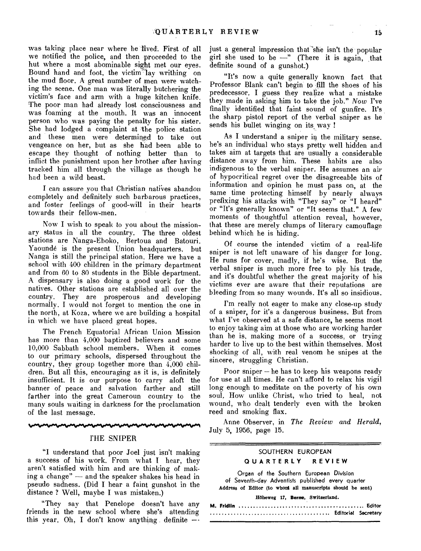was taking place near where he lived. First of all we notified the police, and then proceeded to the hut where a most abominable sight met our eyes. Bound hand and foot, the victim`lay writhing on the mud floor. A great number of men were watching the scene. One man was literally butchering the victim's face and arm with a huge kitchen knife. The poor man had already lost consciousness and was foaming at the mouth. It was an innocent person who was paying the penalty for his sister. She had lodged a complaint at the police station and these men were determined to take out vengeance on her, but as she had been able to escape they thought of nothing better than to inflict the punishment upon her brother after having tracked him all through the village as though he had been a wild beast.

I can assure you that Christian natives abandon completely and definitely such barbarous practices, and foster feelings of good-will in their hearts towards their fellow-men.

Now I wish to speak to you about the missionary status in all the country. The three oldest stations are Nanga-Eboko, Bertoua and Batouri. Yaounde is the present Union headquarters, but Nanga is still the principal station. Here we have a school with 400 children in the primary department and from 60 to 80 students in the Bible department. A dispensary is also doing a good work for the natives. Other stations are established all over the country. They are prosperous and developing normally. I would not forget to mention the one in the north, at Koza, where we are building a hospital in which we have placed great hopes.

The French Equatorial African Union Mission has more than 4,000 baptized believers and some 10,000 Sabbath school members. When it comes to our primary schools, dispersed throughout the country, they group together more than 4,000 children. But all this, encouraging as it is, is definitely insufficient. It is our purpose to carry aloft the banner of peace and salvation farther and still farther into the great Cameroun country to the many souls waiting in darkness for the proclamation of the last message.

THE SNIPER

"I understand that poor Joel just isn't making a success of his work. From what I hear, they aren't satisfied with him and are thinking of making a change" — and the speaker shakes his head in pseudo sadness. (Did I hear a faint gunshot in the distance ? Well, maybe I was mistaken.)

"They say that Penelope doesn't have any friends in the new school where she's attending this year. Oh, I don't know anything definite  $-$ 

just a general impression that she isn't the popular girl she used to be  $-$ " (There it is again, that definite sound of a gunshot.)

"It's now a quite generally known fact that Professor Blank can't begin to fill the shoes of his predecessor. I guess they realize what a mistake they made in asking him to take the job." *Now* I've finally identified that faint sound of gunfire. It's the sharp pistol report of the verbal sniper as he sends his bullet winging on its way !

As I understand a sniper in the military sense. he's an individual who stays pretty well hidden and takes aim at targets that are usually a considerable distance away from him. These habits are also indigenous to the verbal sniper. He assumes an air of hypocritical regret over the disagreeable bits of information and opinion he must pass on, at the same time protecting himself by nearly always prefixing his attacks with "They say" or "I heard" or "It's generally known" or "It seems that." A few moments of thoughtful attention reveal, however, that these are merely clumps of literary camouflage behind which he is hiding.

Of course the intended victim of a real-life sniper is not left unaware of his danger for long. He runs for cover, madly, if he's wise. But the verbal sniper is much more free to ply his trade, and it's doubtful whether the great majority of his victims ever are aware that their reputations are bleeding from so many wounds. It's all so insidious.

I'm really not eager to make any close-up study of a sniper, for it's a dangerous business. But from what I've observed at a safe distance, he seems most to enjoy taking aim at those who are working harder than he is, making more of a success, or trying harder to live up to the best within themselves. Most shocking of all, with real venom he snipes at the sincere, struggling Christian.

Poor sniper — he has to keep his weapons ready for use at all times. He can't afford to relax his vigil long enough to meditate on the poverty of his own soul. How unlike Christ, who tried to heal, not wound, who dealt tenderly even with the broken reed and smoking flax.

Anne Observer, in *The Review and Herald,*  July 5, 1956, page 15.

### SOUTHERN EUROPEAN **QUARTERLY REVIEW**

Organ of the Southern European Division of Seventh-day Adventists published every quarter Address of Editor (to whord all manuscripts should be sent)

Hôheweg 17, Berne, Switzerland.